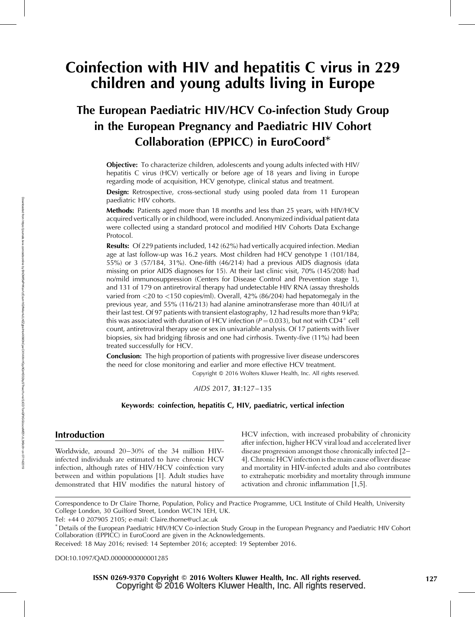# Coinfection with HIV and hepatitis C virus in 229 children and young adults living in Europe

## The European Paediatric HIV/HCV Co-infection Study Group in the European Pregnancy and Paediatric HIV Cohort Collaboration (EPPICC) in EuroCoord\*

Objective: To characterize children, adolescents and young adults infected with HIV/ hepatitis C virus (HCV) vertically or before age of 18 years and living in Europe regarding mode of acquisition, HCV genotype, clinical status and treatment.

Design: Retrospective, cross-sectional study using pooled data from 11 European paediatric HIV cohorts.

Methods: Patients aged more than 18 months and less than 25 years, with HIV/HCV acquired vertically or in childhood, were included. Anonymized individual patient data were collected using a standard protocol and modified HIV Cohorts Data Exchange Protocol.

**Results:** Of 229 patients included, 142 (62%) had vertically acquired infection. Median age at last follow-up was 16.2 years. Most children had HCV genotype 1 (101/184, 55%) or 3 (57/184, 31%). One-fifth (46/214) had a previous AIDS diagnosis (data missing on prior AIDS diagnoses for 15). At their last clinic visit, 70% (145/208) had no/mild immunosuppression (Centers for Disease Control and Prevention stage 1), and 131 of 179 on antiretroviral therapy had undetectable HIV RNA (assay thresholds varied from <20 to <150 copies/ml). Overall, 42% (86/204) had hepatomegaly in the previous year, and 55% (116/213) had alanine aminotransferase more than 40 IU/l at their last test. Of 97 patients with transient elastography, 12 had results more than 9 kPa; this was associated with duration of HCV infection ( $P = 0.033$ ), but not with CD4<sup>+</sup> cell count, antiretroviral therapy use or sex in univariable analysis. Of 17 patients with liver biopsies, six had bridging fibrosis and one had cirrhosis. Twenty-five (11%) had been treated successfully for HCV.

Conclusion: The high proportion of patients with progressive liver disease underscores the need for close monitoring and earlier and more effective HCV treatment.

Copyright © 2016 Wolters Kluwer Health, Inc. All rights reserved.

AIDS 2017, 31:127–135

#### Keywords: coinfection, hepatitis C, HIV, paediatric, vertical infection

## Introduction

Worldwide, around 20–30% of the 34 million HIVinfected individuals are estimated to have chronic HCV infection, although rates of HIV/HCV coinfection vary between and within populations [1]. Adult studies have demonstrated that HIV modifies the natural history of HCV infection, with increased probability of chronicity after infection, higher HCV viral load and accelerated liver disease progression amongst those chronically infected [2– 4]. Chronic HCV infection is the main cause of liver disease and mortality in HIV-infected adults and also contributes to extrahepatic morbidity and mortality through immune activation and chronic inflammation [1,5].

Correspondence to Dr Claire Thorne, Population, Policy and Practice Programme, UCL Institute of Child Health, University College London, 30 Guilford Street, London WC1N 1EH, UK.

Tel: +44 0 207905 2105; e-mail: [Claire.thorne@ucl.ac.uk](mailto:Claire.thorne@ucl.ac.uk)

\* Details of the European Paediatric HIV/HCV Co-infection Study Group in the European Pregnancy and Paediatric HIV Cohort Collaboration (EPPICC) in EuroCoord are given in the Acknowledgements.

Received: 18 May 2016; revised: 14 September 2016; accepted: 19 September 2016.

DOI[:10.1097/QAD.0000000000001285](http://dx.doi.org/10.1097/QAD.0000000000001285)

 Copyright © 2016 Wolters Kluwer Health, Inc. All rights reserved. ISSN 0269-9370 Copyright © 2016 Wolters Kluwer Health, Inc. All rights reserved. 127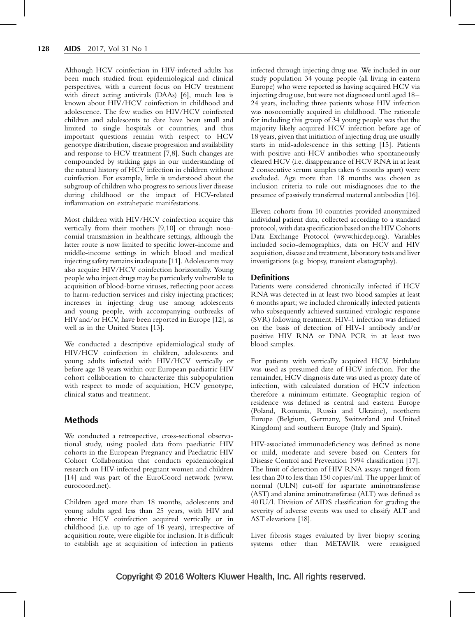Although HCV coinfection in HIV-infected adults has been much studied from epidemiological and clinical perspectives, with a current focus on HCV treatment with direct acting antivirals (DAAs) [6], much less is known about HIV/HCV coinfection in childhood and adolescence. The few studies on HIV/HCV coinfected children and adolescents to date have been small and limited to single hospitals or countries, and thus important questions remain with respect to HCV genotype distribution, disease progression and availability and response to HCV treatment [7,8]. Such changes are compounded by striking gaps in our understanding of the natural history of HCV infection in children without coinfection. For example, little is understood about the subgroup of children who progress to serious liver disease during childhood or the impact of HCV-related inflammation on extrahepatic manifestations.

Most children with HIV/HCV coinfection acquire this vertically from their mothers [9,10] or through nosocomial transmission in healthcare settings, although the latter route is now limited to specific lower-income and middle-income settings in which blood and medical injecting safety remains inadequate [11]. Adolescents may also acquire HIV/HCV coinfection horizontally. Young people who inject drugs may be particularly vulnerable to acquisition of blood-borne viruses, reflecting poor access to harm-reduction services and risky injecting practices; increases in injecting drug use among adolescents and young people, with accompanying outbreaks of HIVand/or HCV, have been reported in Europe [12], as well as in the United States [13].

We conducted a descriptive epidemiological study of HIV/HCV coinfection in children, adolescents and young adults infected with HIV/HCV vertically or before age 18 years within our European paediatric HIV cohort collaboration to characterize this subpopulation with respect to mode of acquisition, HCV genotype, clinical status and treatment.

### Methods

We conducted a retrospective, cross-sectional observational study, using pooled data from paediatric HIV cohorts in the European Pregnancy and Paediatric HIV Cohort Collaboration that conducts epidemiological research on HIV-infected pregnant women and children [14] and was part of the EuroCoord network [\(www.](http://www.eurocoord.net/) [eurocoord.net](http://www.eurocoord.net/)).

Children aged more than 18 months, adolescents and young adults aged less than 25 years, with HIV and chronic HCV coinfection acquired vertically or in childhood (i.e. up to age of 18 years), irrespective of acquisition route, were eligible for inclusion. It is difficult to establish age at acquisition of infection in patients infected through injecting drug use. We included in our study population 34 young people (all living in eastern Europe) who were reported as having acquired HCV via injecting drug use, but were not diagnosed until aged 18– 24 years, including three patients whose HIV infection was nosocomially acquired in childhood. The rationale for including this group of 34 young people was that the majority likely acquired HCV infection before age of 18 years, given that initiation of injecting drug use usually starts in mid-adolescence in this setting [15]. Patients with positive anti-HCV antibodies who spontaneously cleared HCV (i.e. disappearance of HCV RNA in at least 2 consecutive serum samples taken 6 months apart) were excluded. Age more than 18 months was chosen as inclusion criteria to rule out misdiagnoses due to the presence of passively transferred maternal antibodies [16].

Eleven cohorts from 10 countries provided anonymized individual patient data, collected according to a standard protocol, with dataspecification based on the HIV Cohorts Data Exchange Protocol [\(www.hicdep.org\)](http://www.hicdep.org/). Variables included socio-demographics, data on HCV and HIV acquisition, disease and treatment, laboratory tests and liver investigations (e.g. biopsy, transient elastography).

### **Definitions**

Patients were considered chronically infected if HCV RNA was detected in at least two blood samples at least 6 months apart; we included chronically infected patients who subsequently achieved sustained virologic response (SVR) following treatment. HIV-1 infection was defined on the basis of detection of HIV-1 antibody and/or positive HIV RNA or DNA PCR in at least two blood samples.

For patients with vertically acquired HCV, birthdate was used as presumed date of HCV infection. For the remainder, HCV diagnosis date was used as proxy date of infection, with calculated duration of HCV infection therefore a minimum estimate. Geographic region of residence was defined as central and eastern Europe (Poland, Romania, Russia and Ukraine), northern Europe (Belgium, Germany, Switzerland and United Kingdom) and southern Europe (Italy and Spain).

HIV-associated immunodeficiency was defined as none or mild, moderate and severe based on Centers for Disease Control and Prevention 1994 classification [17]. The limit of detection of HIV RNA assays ranged from less than 20 to less than 150 copies/ml. The upper limit of normal (ULN) cut-off for aspartate aminotransferase (AST) and alanine aminotransferase (ALT) was defined as 40 IU/l. Division of AIDS classification for grading the severity of adverse events was used to classify ALT and AST elevations [18].

Liver fibrosis stages evaluated by liver biopsy scoring systems other than METAVIR were reassigned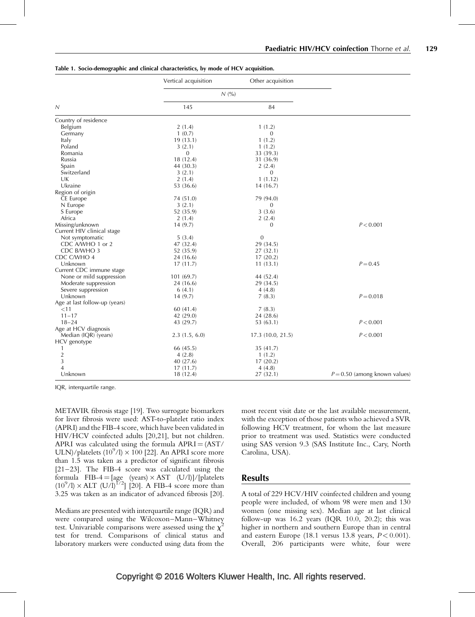|                               | Vertical acquisition | Other acquisition |                                 |
|-------------------------------|----------------------|-------------------|---------------------------------|
| Ν                             | N(%)                 |                   |                                 |
|                               | 145                  | 84                |                                 |
| Country of residence          |                      |                   |                                 |
| Belgium                       | 2(1.4)               | 1(1.2)            |                                 |
| Germany                       | 1(0.7)               | $\mathbf{0}$      |                                 |
| Italy                         | 19(13.1)             | 1(1.2)            |                                 |
| Poland                        | 3(2.1)               | 1(1.2)            |                                 |
| Romania                       | $\mathbf{0}$         | 33 (39.3)         |                                 |
| Russia                        | 18 (12.4)            | 31 (36.9)         |                                 |
| Spain                         | 44 (30.3)            | 2(2.4)            |                                 |
| Switzerland                   | 3(2.1)               | 0                 |                                 |
| UK                            | 2(1.4)               | 1(1.12)           |                                 |
| Ukraine                       | 53 (36.6)            | 14(16.7)          |                                 |
| Region of origin              |                      |                   |                                 |
| CE Europe                     | 74 (51.0)            | 79 (94.0)         |                                 |
| N Europe                      | 3(2.1)               | $\mathbf{0}$      |                                 |
| S Europe                      | 52 (35.9)            | 3(3.6)            |                                 |
| Africa                        | 2(1.4)               | 2(2.4)            |                                 |
| Missing/unknown               | 14(9.7)              | $\mathbf{0}$      | P < 0.001                       |
| Current HIV clinical stage    |                      |                   |                                 |
| Not symptomatic               | 5(3.4)               | $\mathbf{0}$      |                                 |
| CDC A/WHO 1 or 2              | 47 (32.4)            | 29 (34.5)         |                                 |
| CDC B/WHO 3                   | 52 (35.9)            | 27(32.1)          |                                 |
| CDC C/WHO 4                   | 24 (16.6)            | 17(20.2)          |                                 |
| Unknown                       | 17(11.7)             | 11(13.1)          | $P = 0.45$                      |
| Current CDC immune stage      |                      |                   |                                 |
| None or mild suppression      | 101(69.7)            | 44 (52.4)         |                                 |
|                               | 24 (16.6)            | 29 (34.5)         |                                 |
| Moderate suppression          |                      |                   |                                 |
| Severe suppression            | 6(4.1)               | 4(4.8)            |                                 |
| Unknown                       | 14(9.7)              | 7(8.3)            | $P = 0.018$                     |
| Age at last follow-up (years) |                      |                   |                                 |
| $<$ 11                        | 60(41.4)             | 7(8.3)            |                                 |
| $11 - 17$                     | 42 (29.0)            | 24 (28.6)         |                                 |
| $18 - 24$                     | 43 (29.7)            | 53(63.1)          | P < 0.001                       |
| Age at HCV diagnosis          |                      |                   |                                 |
| Median (IQR) (years)          | 2.3(1.5, 6.0)        | 17.3(10.0, 21.5)  | P < 0.001                       |
| HCV genotype                  |                      |                   |                                 |
| 1                             | 66 (45.5)            | 35(41.7)          |                                 |
| $\overline{2}$                | 4(2.8)               | 1(1.2)            |                                 |
| 3                             | 40 (27.6)            | 17(20.2)          |                                 |
| 4                             | 17(11.7)             | 4(4.8)            |                                 |
| Unknown                       | 18 (12.4)            | 27 (32.1)         | $P = 0.50$ (among known values) |

#### Table 1. Socio-demographic and clinical characteristics, by mode of HCV acquisition.

IQR, interquartile range.

METAVIR fibrosis stage [19]. Two surrogate biomarkers for liver fibrosis were used: AST-to-platelet ratio index (APRI) and the FIB-4 score, which have been validated in HIV/HCV coinfected adults [20,21], but not children. APRI was calculated using the formula  $APRI = (AST/$ ULN)/platelets  $(10^9/l) \times 100$  [22]. An APRI score more than 1.5 was taken as a predictor of significant fibrosis [21–23]. The FIB-4 score was calculated using the formula  $FIB-4 = [age (years) \times AST (U/l)]/[platelets]$  $(10^9$ /l)  $\times$  ALT  $(U/I)^{1/2}$ ] [20]. A FIB-4 score more than 3.25 was taken as an indicator of advanced fibrosis [20].

Medians are presented with interquartile range (IQR) and were compared using the Wilcoxon–Mann–Whitney test. Univariable comparisons were assessed using the  $\chi^2$ test for trend. Comparisons of clinical status and laboratory markers were conducted using data from the most recent visit date or the last available measurement, with the exception of those patients who achieved a SVR following HCV treatment, for whom the last measure prior to treatment was used. Statistics were conducted using SAS version 9.3 (SAS Institute Inc., Cary, North Carolina, USA).

### Results

A total of 229 HCV/HIV coinfected children and young people were included, of whom 98 were men and 130 women (one missing sex). Median age at last clinical follow-up was 16.2 years (IQR 10.0, 20.2); this was higher in northern and southern Europe than in central and eastern Europe (18.1 versus 13.8 years,  $P < 0.001$ ). Overall, 206 participants were white, four were

## Copyright © 2016 Wolters Kluwer Health, Inc. All rights reserved.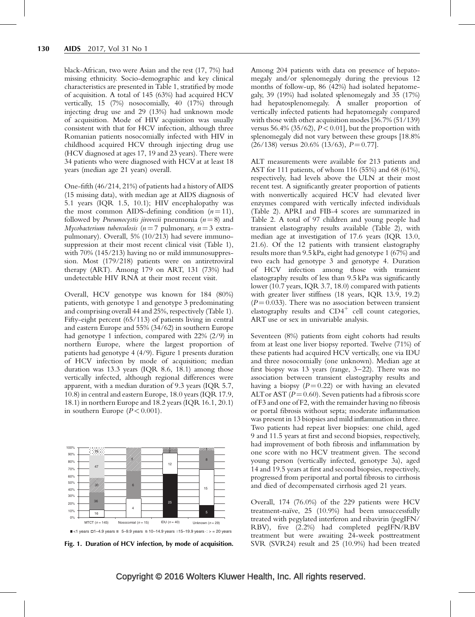black-African, two were Asian and the rest (17, 7%) had missing ethnicity. Socio-demographic and key clinical characteristics are presented in Table 1, stratified by mode of acquisition. A total of 145 (63%) had acquired HCV vertically, 15 (7%) nosocomially, 40 (17%) through injecting drug use and 29 (13%) had unknown mode of acquisition. Mode of HIV acquisition was usually consistent with that for HCV infection, although three Romanian patients nosocomially infected with HIV in childhood acquired HCV through injecting drug use (HCV diagnosed at ages 17, 19 and 23 years). There were 34 patients who were diagnosed with HCV at at least 18 years (median age 21 years) overall.

One-fifth (46/214, 21%) of patients had a history of AIDS (15 missing data), with median age at AIDS diagnosis of 5.1 years (IQR 1.5, 10.1); HIV encephalopathy was the most common AIDS-defining condition  $(n = 11)$ , followed by *Pneumocystis jirovecii* pneumonia ( $n = 8$ ) and Mycobacterium tuberculosis ( $n = 7$  pulmonary,  $n = 3$  extrapulmonary). Overall, 5% (10/213) had severe immunosuppression at their most recent clinical visit (Table 1), with 70% (145/213) having no or mild immunosuppression. Most (179/218) patients were on antiretroviral therapy (ART). Among 179 on ART, 131 (73%) had undetectable HIV RNA at their most recent visit.

Overall, HCV genotype was known for 184 (80%) patients, with genotype 1 and genotype 3 predominating and comprising overall 44 and 25%, respectively (Table 1). Fifty-eight percent (65/113) of patients living in central and eastern Europe and 55% (34/62) in southern Europe had genotype 1 infection, compared with 22% (2/9) in northern Europe, where the largest proportion of patients had genotype 4 (4/9). Figure 1 presents duration of HCV infection by mode of acquisition; median duration was 13.3 years (IQR 8.6, 18.1) among those vertically infected, although regional differences were apparent, with a median duration of 9.3 years (IQR 5.7, 10.8) in central and eastern Europe, 18.0 years (IQR 17.9, 18.1) in northern Europe and 18.2 years (IQR 16.1, 20.1) in southern Europe  $(P < 0.001)$ .



Fig. 1. Duration of HCV infection, by mode of acquisition.

Among 204 patients with data on presence of hepatomegaly and/or splenomegaly during the previous 12 months of follow-up, 86 (42%) had isolated hepatomegaly, 39 (19%) had isolated splenomegaly and 35 (17%) had hepatosplenomegaly. A smaller proportion of vertically infected patients had hepatomegaly compared with those with other acquisition modes [36.7% (51/139) versus 56.4% (35/62),  $P < 0.01$ , but the proportion with splenomegaly did not vary between these groups [18.8%  $(26/138)$  versus 20.6%  $(13/63)$ ,  $P = 0.77$ ].

ALT measurements were available for 213 patients and AST for 111 patients, of whom 116 (55%) and 68 (61%), respectively, had levels above the ULN at their most recent test. A significantly greater proportion of patients with nonvertically acquired HCV had elevated liver enzymes compared with vertically infected individuals (Table 2). APRI and FIB-4 scores are summarized in Table 2. A total of 97 children and young people had transient elastography results available (Table 2), with median age at investigation of 17.6 years (IQR 13.0, 21.6). Of the 12 patients with transient elastography results more than 9.5 kPa, eight had genotype 1 (67%) and two each had genotype 3 and genotype 4. Duration of HCV infection among those with transient elastography results of less than 9.5 kPa was significantly lower (10.7 years, IQR 3.7, 18.0) compared with patients with greater liver stiffness (18 years, IQR 13.9, 19.2)  $(P = 0.033)$ . There was no association between transient elastography results and  $CD4^+$  cell count categories, ART use or sex in univariable analysis.

Seventeen (8%) patients from eight cohorts had results from at least one liver biopsy reported. Twelve (71%) of these patients had acquired HCV vertically, one via IDU and three nosocomially (one unknown). Median age at first biopsy was 13 years (range, 3–22). There was no association between transient elastography results and having a biopsy  $(P = 0.22)$  or with having an elevated ALT or AST ( $P = 0.60$ ). Seven patients had a fibrosis score of F3 and one of F2, with the remainder having no fibrosis or portal fibrosis without septa; moderate inflammation was present in 13 biopsies and mild inflammation in three. Two patients had repeat liver biopsies: one child, aged 9 and 11.5 years at first and second biopsies, respectively, had improvement of both fibrosis and inflammation by one score with no HCV treatment given. The second young person (vertically infected, genotype 3a), aged 14 and 19.5 years at first and second biopsies, respectively, progressed from periportal and portal fibrosis to cirrhosis and died of decompensated cirrhosis aged 21 years.

Overall, 174 (76.0%) of the 229 patients were HCV treatment-naïve,  $25$  (10.9%) had been unsuccessfully treated with pegylated interferon and ribavirin (pegIFN/ RBV), five (2.2%) had completed pegIFN/RBV treatment but were awaiting 24-week posttreatment SVR (SVR24) result and 25 (10.9%) had been treated

## Copyright © 2016 Wolters Kluwer Health, Inc. All rights reserved.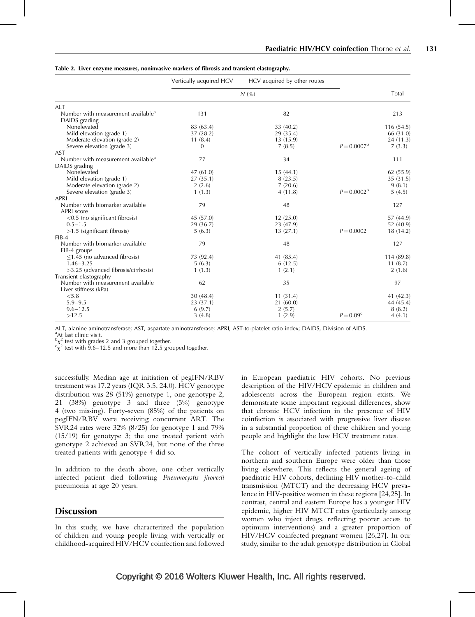|                                                                 | Vertically acquired HCV | HCV acquired by other routes |                      |            |
|-----------------------------------------------------------------|-------------------------|------------------------------|----------------------|------------|
|                                                                 | N(%)                    |                              |                      | Total      |
| <b>ALT</b>                                                      |                         |                              |                      |            |
| Number with measurement available <sup>a</sup><br>DAIDS grading | 131                     | 82                           |                      | 213        |
| Nonelevated                                                     | 83 (63.4)               | 33 (40.2)                    |                      | 116(54.5)  |
| Mild elevation (grade 1)                                        | 37 (28.2)               | 29 (35.4)                    |                      | 66 (31.0)  |
| Moderate elevation (grade 2)                                    | 11(8.4)                 | 13(15.9)                     |                      | 24(11.3)   |
| Severe elevation (grade 3)                                      | $\overline{0}$          | 7(8.5)                       | $P = 0.0007^{\rm b}$ | 7(3.3)     |
| <b>AST</b>                                                      |                         |                              |                      |            |
| Number with measurement available <sup>a</sup>                  | 77                      | 34                           |                      | 111        |
| DAIDS grading                                                   |                         |                              |                      |            |
| Nonelevated                                                     | 47(61.0)                | 15(44.1)                     |                      | 62 (55.9)  |
| Mild elevation (grade 1)                                        | 27(35.1)                | 8(23.5)                      |                      | 35 (31.5)  |
| Moderate elevation (grade 2)                                    | 2(2.6)                  | 7(20.6)                      |                      | 9(8.1)     |
| Severe elevation (grade 3)                                      | 1(1.3)                  | 4(11.8)                      | $P = 0.0002^{\rm b}$ | 5(4.5)     |
| <b>APRI</b>                                                     |                         |                              |                      |            |
| Number with biomarker available                                 | 79                      | 48                           |                      | 127        |
| APRI score                                                      |                         |                              |                      |            |
| $\leq$ 0.5 (no significant fibrosis)                            | 45 (57.0)               | 12(25.0)                     |                      | 57 (44.9)  |
| $0.5 - 1.5$                                                     | 29 (36.7)               | 23 (47.9)                    |                      | 52 (40.9)  |
| $>\!\!1.5$ (significant fibrosis)                               | 5(6.3)                  | 13(27.1)                     | $P = 0.0002$         | 18(14.2)   |
| $FIB-4$                                                         |                         |                              |                      |            |
| Number with biomarker available                                 | 79                      | 48                           |                      | 127        |
| FIB-4 groups                                                    |                         |                              |                      |            |
| $\leq$ 1.45 (no advanced fibrosis)                              | 73 (92.4)               | 41 (85.4)                    |                      | 114 (89.8) |
| $1.46 - 3.25$                                                   | 5(6.3)                  | 6(12.5)                      |                      | 11(8.7)    |
| $>3.25$ (advanced fibrosis/cirrhosis)                           | 1(1.3)                  | 1(2.1)                       |                      | 2(1.6)     |
| Transient elastography                                          |                         |                              |                      |            |
| Number with measurement available                               | 62                      | 35                           |                      | 97         |
| Liver stiffness (kPa)                                           |                         |                              |                      |            |
| < 5.8                                                           | 30(48.4)                | 11(31.4)                     |                      | 41(42.3)   |
| $5.9 - 9.5$                                                     | 23 (37.1)               | 21(60.0)                     |                      | 44 (45.4)  |
| $9.6 - 12.5$                                                    | 6(9.7)                  | 2(5.7)                       |                      | 8(8.2)     |
| >12.5                                                           | 3(4.8)                  | 1(2.9)                       | $P = 0.09^{\circ}$   | 4(4.1)     |

#### Table 2. Liver enzyme measures, noninvasive markers of fibrosis and transient elastography.

ALT, alanine aminotransferase; AST, aspartate aminotransferase; APRI, AST-to-platelet ratio index; DAIDS, Division of AIDS.

<sup>a</sup>At last clinic visit.

 $\frac{b}{x^2}$  test with grades 2 and 3 grouped together.

 $\frac{c_{\chi}^2}{\chi^2}$  test with 9.6–12.5 and more than 12.5 grouped together.

successfully. Median age at initiation of pegIFN/RBV treatment was 17.2 years (IQR 3.5, 24.0). HCV genotype distribution was 28 (51%) genotype 1, one genotype 2, 21 (38%) genotype 3 and three (5%) genotype 4 (two missing). Forty-seven (85%) of the patients on pegIFN/RBV were receiving concurrent ART. The SVR24 rates were 32% (8/25) for genotype 1 and 79% (15/19) for genotype 3; the one treated patient with genotype 2 achieved an SVR24, but none of the three treated patients with genotype 4 did so.

In addition to the death above, one other vertically infected patient died following Pneumocystis jirovecii pneumonia at age 20 years.

### **Discussion**

In this study, we have characterized the population of children and young people living with vertically or childhood-acquired HIV/HCV coinfection and followed in European paediatric HIV cohorts. No previous description of the HIV/HCV epidemic in children and adolescents across the European region exists. We demonstrate some important regional differences, show that chronic HCV infection in the presence of HIV coinfection is associated with progressive liver disease in a substantial proportion of these children and young people and highlight the low HCV treatment rates.

The cohort of vertically infected patients living in northern and southern Europe were older than those living elsewhere. This reflects the general ageing of paediatric HIV cohorts, declining HIV mother-to-child transmission (MTCT) and the decreasing HCV prevalence in HIV-positive women in these regions [24,25]. In contrast, central and eastern Europe has a younger HIV epidemic, higher HIV MTCT rates (particularly among women who inject drugs, reflecting poorer access to optimum interventions) and a greater proportion of HIV/HCV coinfected pregnant women [26,27]. In our study, similar to the adult genotype distribution in Global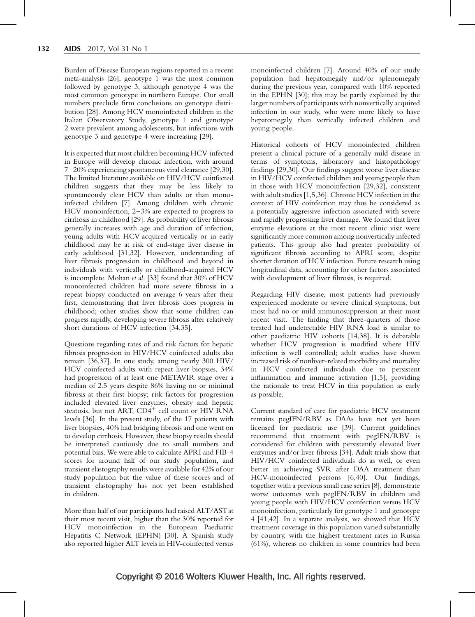Burden of Disease European regions reported in a recent meta-analysis [26], genotype 1 was the most common followed by genotype 3, although genotype 4 was the most common genotype in northern Europe. Our small numbers preclude firm conclusions on genotype distribution [28]. Among HCV monoinfected children in the Italian Observatory Study, genotype 1 and genotype 2 were prevalent among adolescents, but infections with genotype 3 and genotype 4 were increasing [29].

It is expected that most children becoming HCV-infected in Europe will develop chronic infection, with around 7–20% experiencing spontaneous viral clearance [29,30]. The limited literature available on HIV/HCV coinfected children suggests that they may be less likely to spontaneously clear HCV than adults or than monoinfected children [7]. Among children with chronic HCV monoinfection, 2–3% are expected to progress to cirrhosis in childhood [29]. As probability of liver fibrosis generally increases with age and duration of infection, young adults with HCV acquired vertically or in early childhood may be at risk of end-stage liver disease in early adulthood [31,32]. However, understanding of liver fibrosis progression in childhood and beyond in individuals with vertically or childhood-acquired HCV is incomplete. Mohan et al. [33] found that 30% of HCV monoinfected children had more severe fibrosis in a repeat biopsy conducted on average 6 years after their first, demonstrating that liver fibrosis does progress in childhood; other studies show that some children can progress rapidly, developing severe fibrosis after relatively short durations of HCV infection [34,35].

Questions regarding rates of and risk factors for hepatic fibrosis progression in HIV/HCV coinfected adults also remain [36,37]. In one study, among nearly 300 HIV/ HCV coinfected adults with repeat liver biopsies, 34% had progression of at least one METAVIR stage over a median of 2.5 years despite 86% having no or minimal fibrosis at their first biopsy; risk factors for progression included elevated liver enzymes, obesity and hepatic steatosis, but not ART,  $CD4^+$  cell count or HIV RNA levels [36]. In the present study, of the 17 patients with liver biopsies, 40% had bridging fibrosis and one went on to develop cirrhosis. However, these biopsy results should be interpreted cautiously due to small numbers and potential bias. We were able to calculate APRI and FIB-4 scores for around half of our study population, and transient elastography results were available for 42% of our study population but the value of these scores and of transient elastography has not yet been established in children.

More than half of our participants had raised ALT/ASTat their most recent visit, higher than the 30% reported for HCV monoinfection in the European Paediatric Hepatitis C Network (EPHN) [30]. A Spanish study also reported higher ALT levels in HIV-coinfected versus monoinfected children [7]. Around 40% of our study population had hepatomegaly and/or splenomegaly during the previous year, compared with 10% reported in the EPHN [30]; this may be partly explained by the larger numbers of participants with nonvertically acquired infection in our study, who were more likely to have hepatomegaly than vertically infected children and young people.

Historical cohorts of HCV monoinfected children present a clinical picture of a generally mild disease in terms of symptoms, laboratory and histopathology findings [29,30]. Our findings suggest worse liver disease in HIV/HCV coinfected children and young people than in those with HCV monoinfection [29,32], consistent with adult studies [1,5,36]. Chronic HCV infection in the context of HIV coinfection may thus be considered as a potentially aggressive infection associated with severe and rapidly progressing liver damage. We found that liver enzyme elevations at the most recent clinic visit were significantly more common among nonvertically infected patients. This group also had greater probability of significant fibrosis according to APRI score, despite shorter duration of HCV infection. Future research using longitudinal data, accounting for other factors associated with development of liver fibrosis, is required.

Regarding HIV disease, most patients had previously experienced moderate or severe clinical symptoms, but most had no or mild immunosuppression at their most recent visit. The finding that three-quarters of those treated had undetectable HIV RNA load is similar to other paediatric HIV cohorts [14,38]. It is debatable whether HCV progression is modified where HIV infection is well controlled; adult studies have shown increased risk of nonliver-related morbidity and mortality in HCV coinfected individuals due to persistent inflammation and immune activation [1,5], providing the rationale to treat HCV in this population as early as possible.

Current standard of care for paediatric HCV treatment remains pegIFN/RBV as DAAs have not yet been licensed for paediatric use [39]. Current guidelines recommend that treatment with pegIFN/RBV is considered for children with persistently elevated liver enzymes and/or liver fibrosis [34]. Adult trials show that HIV/HCV coinfected individuals do as well, or even better in achieving SVR after DAA treatment than HCV-monoinfected persons [6,40]. Our findings, together with a previous small case series [8], demonstrate worse outcomes with pegIFN/RBV in children and young people with HIV/HCV coinfection versus HCV monoinfection, particularly for genotype 1 and genotype 4 [41,42]. In a separate analysis, we showed that HCV treatment coverage in this population varied substantially by country, with the highest treatment rates in Russia (61%), whereas no children in some countries had been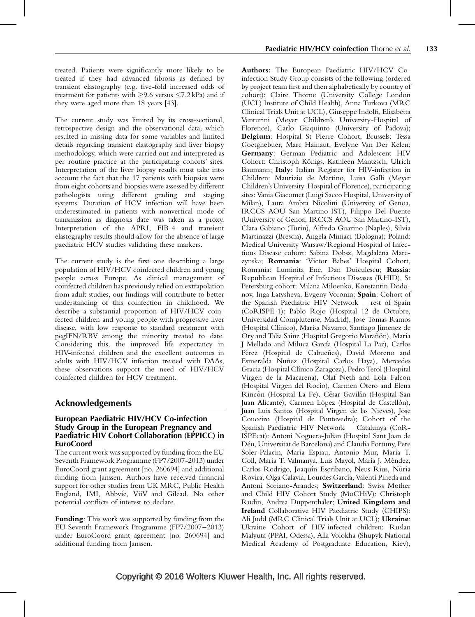treated. Patients were significantly more likely to be treated if they had advanced fibrosis as defined by transient elastography (e.g. five-fold increased odds of treatment for patients with  $\geq$ 9.6 versus  $\leq$ 7.2 kPa) and if they were aged more than 18 years [43].

The current study was limited by its cross-sectional, retrospective design and the observational data, which resulted in missing data for some variables and limited details regarding transient elastography and liver biopsy methodology, which were carried out and interpreted as per routine practice at the participating cohorts' sites. Interpretation of the liver biopsy results must take into account the fact that the 17 patients with biopsies were from eight cohorts and biopsies were assessed by different pathologists using different grading and staging systems. Duration of HCV infection will have been underestimated in patients with nonvertical mode of transmission as diagnosis date was taken as a proxy. Interpretation of the APRI, FIB-4 and transient elastography results should allow for the absence of large paediatric HCV studies validating these markers.

The current study is the first one describing a large population of HIV/HCV coinfected children and young people across Europe. As clinical management of coinfected children has previously relied on extrapolation from adult studies, our findings will contribute to better understanding of this coinfection in childhood. We describe a substantial proportion of HIV/HCV coinfected children and young people with progressive liver disease, with low response to standard treatment with pegIFN/RBV among the minority treated to date. Considering this, the improved life expectancy in HIV-infected children and the excellent outcomes in adults with HIV/HCV infection treated with DAAs, these observations support the need of HIV/HCV coinfected children for HCV treatment.

## Acknowledgements

#### European Paediatric HIV/HCV Co-infection Study Group in the European Pregnancy and Paediatric HIV Cohort Collaboration (EPPICC) in EuroCoord

The current work was supported by funding from the EU Seventh Framework Programme (FP7/2007-2013) under EuroCoord grant agreement [no. 260694] and additional funding from Janssen. Authors have received financial support for other studies from UK MRC, Public Health England, IMI, Abbvie, ViiV and Gilead. No other potential conflicts of interest to declare.

Funding: This work was supported by funding from the EU Seventh Framework Programme (FP7/2007–2013) under EuroCoord grant agreement [no. 260694] and additional funding from Janssen.

Authors: The European Paediatric HIV/HCV Coinfection Study Group consists of the following (ordered by project team first and then alphabetically by country of cohort): Claire Thorne (University College London (UCL) Institute of Child Health), Anna Turkova (MRC Clinical Trials Unit at UCL), Giuseppe Indolfi, Elisabetta Venturini (Meyer Children's University-Hospital of Florence), Carlo Giaquinto (University of Padova); Belgium: Hospital St Pierre Cohort, Brussels: Tessa Goetghebuer, Marc Hainaut, Evelyne Van Der Kelen; Germany: German Pediatric and Adolescent HIV Cohort: Christoph Königs, Kathleen Mantzsch, Ulrich Baumann; Italy: Italian Register for HIV-infection in Children: Maurizio de Martino, Luisa Galli (Meyer Children's University-Hospital of Florence), participating sites: Vania Giacomet (Luigi Sacco Hospital, University of Milan), Laura Ambra Nicolini (University of Genoa, IRCCS AOU San Martino-IST), Filippo Del Puente (University of Genoa, IRCCS AOU San Martino-IST), Clara Gabiano (Turin), Alfredo Guarino (Naples), Silvia Martinazzi (Brescia), Angela Miniaci (Bologna); Poland: Medical University Warsaw/Regional Hospital of Infectious Disease cohort: Sabina Dobsz, Magdalena Marczynska; Romania: 'Victor Babes' Hospital Cohort, Romania: Luminita Ene, Dan Duiculescu; Russia: Republican Hospital of Infectious Diseases (RHID), St Petersburg cohort: Milana Miloenko, Konstantin Dodonov, Inga Latysheva, Evgeny Voronin; Spain: Cohort of the Spanish Paediatric HIV Network – rest of Spain (CoRISPE-1): Pablo Rojo (Hospital 12 de Octubre, Universidad Complutense, Madrid), Jose Tomas Ramos (Hospital Clínico), Marisa Navarro, Santiago Jimenez de Ory and Talia Sainz (Hospital Gregorio Marañón), Maria J Mellado and Miluca García (Hospital La Paz), Carlos Pérez (Hospital de Cabueñes), David Moreno and Esmeralda Nuñez (Hospital Carlos Haya), Mercedes Gracia (Hospital Clínico Zaragoza), Pedro Terol (Hospital Virgen de la Macarena), Olaf Neth and Lola Falcon (Hospital Virgen del Rocío), Carmen Otero and Elena Rincón (Hospital La Fe), César Gavilán (Hospital San Juan Alicante), Carmen López (Hospital de Castellón), Juan Luis Santos (Hospital Virgen de las Nieves), Jose Couceiro (Hospital de Pontevedra); Cohort of the Spanish Paediatric HIV Network – Catalunya (CoR-ISPEcat): Antoni Noguera-Julian (Hospital Sant Joan de Déu, Universitat de Barcelona) and Claudia Fortuny, Pere Soler-Palacin, Maria Espiau, Antonio Mur, Maria T. Coll, Maria T. Valmanya, Luis Mayol, María J. Méndez, Carlos Rodrigo, Joaquín Escribano, Neus Rius, Núria Rovira, Olga Calavia, Lourdes García, Valentí Pineda and Antoni Soriano-Arandes; Switzerland: Swiss Mother and Child HIV Cohort Study (MoCHiV): Christoph Rudin, Andrea Duppenthaler; United Kingdom and Ireland Collaborative HIV Paediatric Study (CHIPS): Ali Judd (MRC Clinical Trials Unit at UCL); Ukraine: Ukraine Cohort of HIV-infected children: Ruslan Malyuta (PPAI, Odessa), Alla Volokha (Shupyk National Medical Academy of Postgraduate Education, Kiev),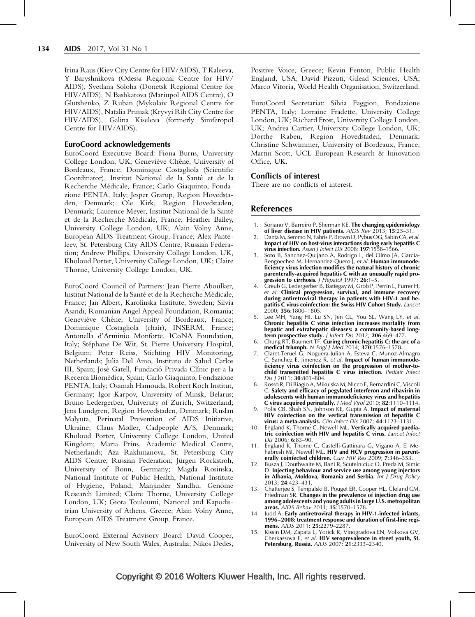Irina Raus (Kiev City Centre for HIV/AIDS), T Kaleeva, Y Baryshnikova (Odessa Regional Centre for HIV/ AIDS), Svetlana Soloha (Donetsk Regional Centre for HIV/AIDS), N Bashkatova (Mariupol AIDS Centre), O Glutshenko, Z Ruban (Mykolaiv Regional Centre for HIV/AIDS), Natalia Primak (Kryvyi Rih City Centre for HIV/AIDS), Galina Kiseleva (formerly Simferopol Centre for HIV/AIDS).

#### EuroCoord acknowledgements

EuroCoord Executive Board: Fiona Burns, University College London, UK; Geneviève Chêne, University of Bordeaux, France; Dominique Costagliola (Scientific Coordinator), Institut National de la Santé et de la Recherche Médicale, France; Carlo Giaquinto, Fondazione PENTA, Italy; Jesper Grarup, Region Hovedstaden, Denmark; Ole Kirk, Region Hovedstaden, Denmark; Laurence Meyer, Institut National de la Santé et de la Recherche Médicale, France; Heather Bailey, University College London, UK; Alain Volny Anne, European AIDS Treatment Group, France; Alex Panteleev, St. Petersburg City AIDS Centre, Russian Federation; Andrew Phillips, University College London, UK, Kholoud Porter, University College London, UK; Claire Thorne, University College London, UK.

EuroCoord Council of Partners: Jean-Pierre Aboulker, Institut National de la Santé et de la Recherche Médicale, France; Jan Albert, Karolinska Institute, Sweden; Silvia Asandi, Romanian Angel Appeal Foundation, Romania; Geneviève Chêne, University of Bordeaux, France; Dominique Costagliola (chair), INSERM, France; Antonella d'Arminio Monforte, ICoNA Foundation, Italy; Stéphane De Wit, St. Pierre University Hospital, Belgium; Peter Reiss, Stichting HIV Monitoring, Netherlands; Julia Del Amo, Instituto de Salud Carlos III, Spain; José Gatell, Fundació Privada Clínic per a la Recerca Bíomèdica, Spain; Carlo Giaquinto, Fondazione PENTA, Italy; Osamah Hamouda, Robert Koch Institut, Germany; Igor Karpov, University of Minsk, Belarus; Bruno Ledergerber, University of Zurich, Switzerland; Jens Lundgren, Region Hovedstaden, Denmark; Ruslan Malyuta, Perinatal Prevention of AIDS Initiative, Ukraine; Claus Møller, Cadpeople A/S, Denmark; Kholoud Porter, University College London, United Kingdom; Maria Prins, Academic Medical Centre, Netherlands; Aza Rakhmanova, St. Petersburg City AIDS Centre, Russian Federation; Jürgen Rockstroh, University of Bonn, Germany; Magda Rosinska, National Institute of Public Health, National Institute of Hygiene, Poland; Manjinder Sandhu, Genome Research Limited; Claire Thorne, University College London, UK; Giota Touloumi, National and Kapodistrian University of Athens, Greece; Alain Volny Anne, European AIDS Treatment Group, France.

EuroCoord External Advisory Board: David Cooper, University of New South Wales, Australia; Nikos Dedes, Positive Voice, Greece; Kevin Fenton, Public Health England, USA; David Pizzuti, Gilead Sciences, USA; Marco Vitoria, World Health Organisation, Switzerland.

EuroCoord Secretariat: Silvia Faggion, Fondazione PENTA, Italy; Lorraine Fradette, University College London, UK; Richard Frost, University College London, UK; Andrea Cartier, University College London, UK; Dorthe Raben, Region Hovedstaden, Denmark; Christine Schwimmer, University of Bordeaux, France; Martin Scott, UCL European Research & Innovation Office, UK.

#### Conflicts of interest

There are no conflicts of interest.

#### References

- 1. Soriano V, Barreiro P, Sherman KE. The changing epidemiology of liver disease in HIV patients. AIDS Rev 2013; 15:25-31.
- 2. Danta M, Semmo N, Fabris P, Brown D, Pybus OG, Sabin CA, et al. Impact of HIV on host-virus interactions during early hepatitis C virus infection. Asian J Infect Dis 2008; 197:1558-1566.
- 3. Soto B, Sanchez-Quijano A, Rodrigo L, del Olmo JA, Garcia-Bengoechea M, Hernandez-Quero J, et al. Human immunodeficiency virus infection modifies the natural history of chronic parenterally-acquired hepatitis C with an unusually rapid progression to cirrhosis. J Hepatol 1997; 26:1-5.
- 4. Greub G, Ledergerber B, Battegay M, Grob P, Perrin L, Furrer H, et al. Clinical progression, survival, and immune recovery during antiretroviral therapy in patients with HIV-1 and hepatitis C virus coinfection: the Swiss HIV Cohort Study. Lancet 2000; 356:1800–1805.
- 5. Lee MH, Yang HI, Lu SN, Jen CL, You SL, Wang LY, et al. Chronic hepatitis C virus infection increases mortality from hepatic and extrahepatic diseases: a community-based longterm prospective study. J Infect Dis 2012; 206:469-477.
- 6. Chung RT, Baumert TF. Curing chronic hepatitis C: the arc of a medical triumph. N Engl J Med 2014; 370:1576-1578.
- 7. Claret-Teruel G, Noguera-Julian A, Esteva C, Munoz-Almagro C, Sanchez E, Jimenez R, et al. Impact of human immunodeficiency virus coinfection on the progression of mother-tochild transmitted hepatitis C virus infection. Pediatr Infect Dis J 2011; 30:801–804.
- 8. Rosso R, Di Biagio A, Mikulska M, Nicco E, Bernardini C, Viscoli C. Safety and efficacy of pegylated interferon and ribavirin in adolescents with human immunodeficiency virus and hepatitis C virus acquired perinatally. *J Med Virol* 2010; 82:1110-1114.
- 9. Polis CB, Shah SN, Johnson KE, Gupta A. Impact of maternal HIV coinfection on the vertical transmission of hepatitis C virus: a meta-analysis. Clin Infect Dis 2007; 44:1123–1131.
- 10. England K, Thorne C, Newell ML. Vertically acquired paediatric coinfection with HIV and hepatitis C virus. Lancet Infect Dis 2006; 6:83–90.
- 11. England K, Thorne C, Castelli-Gattinara G, Vigano A, El Mehabresh MI, Newell ML. HIV and HCV progression in parenterally coinfected children. Curr HIV Res 2009; 7:346-353.
- 12. Busza J, Douthwaite M, Bani R, Scutelniciuc O, Preda M, Simic D. Injecting behaviour and service use among young injectors in Albania, Moldova, Romania and Serbia. Int J Drug Policy 2013; 24:423–431.
- 13. Chatterjee S, Tempalski B, Pouget ER, Cooper HL, Cleland CM, Friedman SR. Changes in the prevalence of injection drug use among adolescents and young adults in large U.S. metropolitan areas. AIDS Behav 2011; 15:1570–1578.
- 14. Judd A. Early antiretroviral therapy in HIV-1-infected infants, 1996–2008: treatment response and duration of first-line regimens. AIDS 2011; 25:2279-2287.
- 15. Kissin DM, Zapata L, Yorick R, Vinogradova EN, Volkova GV, Cherkassova E, et al. **HIV seroprevalence in street youth, St.** Petersburg, Russia. AIDS 2007; 21:2333–2340.